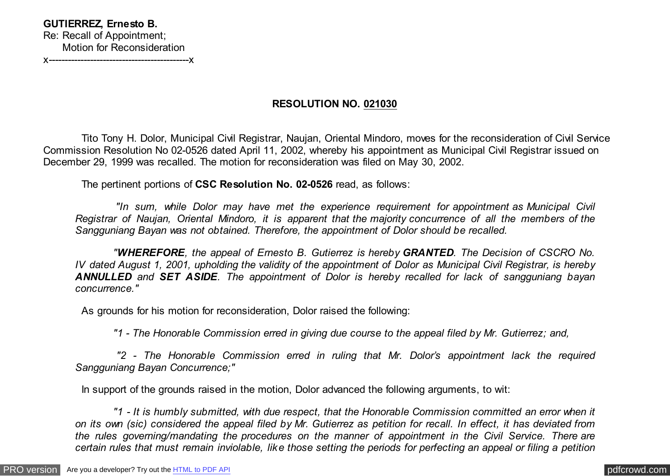## **RESOLUTION NO. 021030**

 Tito Tony H. Dolor, Municipal Civil Registrar, Naujan, Oriental Mindoro, moves for the reconsideration of Civil Service Commission Resolution No 02-0526 dated April 11, 2002, whereby his appointment as Municipal Civil Registrar issued on December 29, 1999 was recalled. The motion for reconsideration was filed on May 30, 2002.

The pertinent portions of **CSC Resolution No. 02-0526** read, as follows:

 *"In sum, while Dolor may have met the experience requirement for appointment as Municipal Civil Registrar of Naujan, Oriental Mindoro, it is apparent that the majority concurrence of all the members of the Sangguniang Bayan was not obtained. Therefore, the appointment of Dolor should be recalled.*

 *"WHEREFORE, the appeal of Ernesto B. Gutierrez is hereby GRANTED. The Decision of CSCRO No. IV dated August 1, 2001, upholding the validity of the appointment of Dolor as Municipal Civil Registrar, is hereby ANNULLED and SET ASIDE. The appointment of Dolor is hereby recalled for lack of sangguniang bayan concurrence."*

As grounds for his motion for reconsideration, Dolor raised the following:

 *"1 - The Honorable Commission erred in giving due course to the appeal filed by Mr. Gutierrez; and,*

 *"2 - The Honorable Commission erred in ruling that Mr. Dolor's appointment lack the required Sangguniang Bayan Concurrence;"*

In support of the grounds raised in the motion, Dolor advanced the following arguments, to wit:

 *"1 - It is humbly submitted, with due respect, that the Honorable Commission committed an error when it on its own (sic) considered the appeal filed by Mr. Gutierrez as petition for recall. In effect, it has deviated from the rules governing/mandating the procedures on the manner of appointment in the Civil Service. There are certain rules that must remain inviolable, like those setting the periods for perfecting an appeal or filing a petition*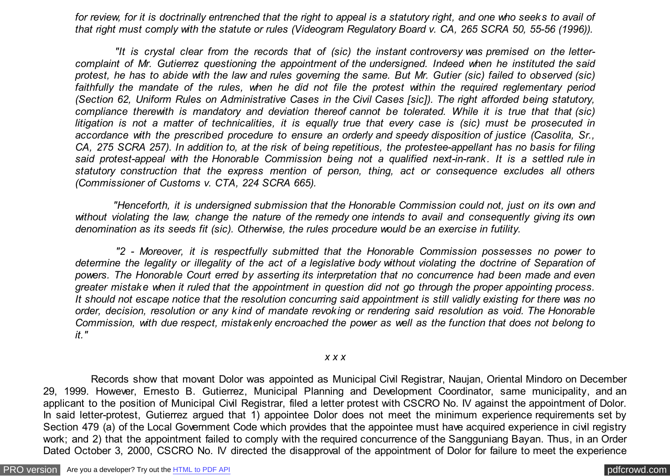*for review, for it is doctrinally entrenched that the right to appeal is a statutory right, and one who seeks to avail of that right must comply with the statute or rules (Videogram Regulatory Board v. CA, 265 SCRA 50, 55-56 (1996)).*

 *"It is crystal clear from the records that of (sic) the instant controversy was premised on the lettercomplaint of Mr. Gutierrez questioning the appointment of the undersigned. Indeed when he instituted the said protest, he has to abide with the law and rules governing the same. But Mr. Gutier (sic) failed to observed (sic) faithfully the mandate of the rules, when he did not file the protest within the required reglementary period (Section 62, Uniform Rules on Administrative Cases in the Civil Cases [sic]). The right afforded being statutory, compliance therewith is mandatory and deviation thereof cannot be tolerated. While it is true that that (sic) litigation is not a matter of technicalities, it is equally true that every case is (sic) must be prosecuted in accordance with the prescribed procedure to ensure an orderly and speedy disposition of justice (Casolita, Sr., CA, 275 SCRA 257). In addition to, at the risk of being repetitious, the protestee-appellant has no basis for filing said protest-appeal with the Honorable Commission being not a qualified next-in-rank. It is a settled rule in statutory construction that the express mention of person, thing, act or consequence excludes all others (Commissioner of Customs v. CTA, 224 SCRA 665).*

 *"Henceforth, it is undersigned submission that the Honorable Commission could not, just on its own and without violating the law, change the nature of the remedy one intends to avail and consequently giving its own denomination as its seeds fit (sic). Otherwise, the rules procedure would be an exercise in futility.*

 *"2 - Moreover, it is respectfully submitted that the Honorable Commission possesses no power to determine the legality or illegality of the act of a legislative body without violating the doctrine of Separation of powers. The Honorable Court erred by asserting its interpretation that no concurrence had been made and even greater mistake when it ruled that the appointment in question did not go through the proper appointing process. It should not escape notice that the resolution concurring said appointment is still validly existing for there was no order, decision, resolution or any kind of mandate revoking or rendering said resolution as void. The Honorable Commission, with due respect, mistakenly encroached the power as well as the function that does not belong to it."*

## *x x x*

 Records show that movant Dolor was appointed as Municipal Civil Registrar, Naujan, Oriental Mindoro on December 29, 1999. However, Ernesto B. Gutierrez, Municipal Planning and Development Coordinator, same municipality, and an applicant to the position of Municipal Civil Registrar, filed a letter protest with CSCRO No. IV against the appointment of Dolor. In said letter-protest, Gutierrez argued that 1) appointee Dolor does not meet the minimum experience requirements set by Section 479 (a) of the Local Government Code which provides that the appointee must have acquired experience in civil registry work; and 2) that the appointment failed to comply with the required concurrence of the Sangguniang Bayan. Thus, in an Order Dated October 3, 2000, CSCRO No. IV directed the disapproval of the appointment of Dolor for failure to meet the experience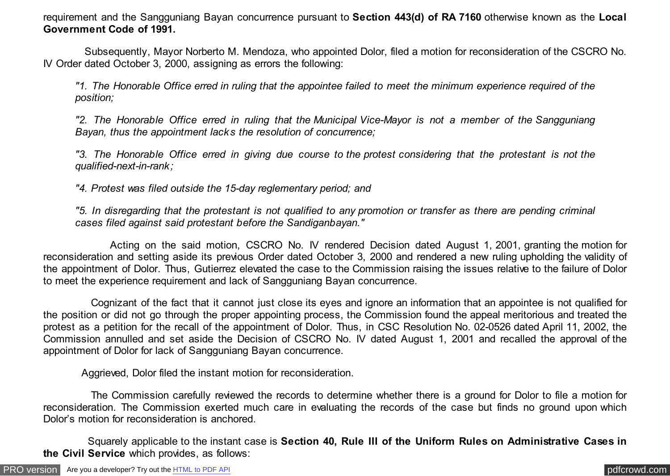requirement and the Sangguniang Bayan concurrence pursuant to **Section 443(d) of RA 7160** otherwise known as the **Local Government Code of 1991.**

 Subsequently, Mayor Norberto M. Mendoza, who appointed Dolor, filed a motion for reconsideration of the CSCRO No. IV Order dated October 3, 2000, assigning as errors the following:

*"1. The Honorable Office erred in ruling that the appointee failed to meet the minimum experience required of the position;*

*"2. The Honorable Office erred in ruling that the Municipal Vice-Mayor is not a member of the Sangguniang Bayan, thus the appointment lacks the resolution of concurrence;*

*"3. The Honorable Office erred in giving due course to the protest considering that the protestant is not the qualified-next-in-rank;*

*"4. Protest was filed outside the 15-day reglementary period; and*

*"5. In disregarding that the protestant is not qualified to any promotion or transfer as there are pending criminal cases filed against said protestant before the Sandiganbayan."*

 Acting on the said motion, CSCRO No. IV rendered Decision dated August 1, 2001, granting the motion for reconsideration and setting aside its previous Order dated October 3, 2000 and rendered a new ruling upholding the validity of the appointment of Dolor. Thus, Gutierrez elevated the case to the Commission raising the issues relative to the failure of Dolor to meet the experience requirement and lack of Sangguniang Bayan concurrence.

 Cognizant of the fact that it cannot just close its eyes and ignore an information that an appointee is not qualified for the position or did not go through the proper appointing process, the Commission found the appeal meritorious and treated the protest as a petition for the recall of the appointment of Dolor. Thus, in CSC Resolution No. 02-0526 dated April 11, 2002, the Commission annulled and set aside the Decision of CSCRO No. IV dated August 1, 2001 and recalled the approval of the appointment of Dolor for lack of Sangguniang Bayan concurrence.

Aggrieved, Dolor filed the instant motion for reconsideration.

 The Commission carefully reviewed the records to determine whether there is a ground for Dolor to file a motion for reconsideration. The Commission exerted much care in evaluating the records of the case but finds no ground upon which Dolor's motion for reconsideration is anchored.

 Squarely applicable to the instant case is **Section 40, Rule III of the Uniform Rules on Administrative Cases in the Civil Service** which provides, as follows: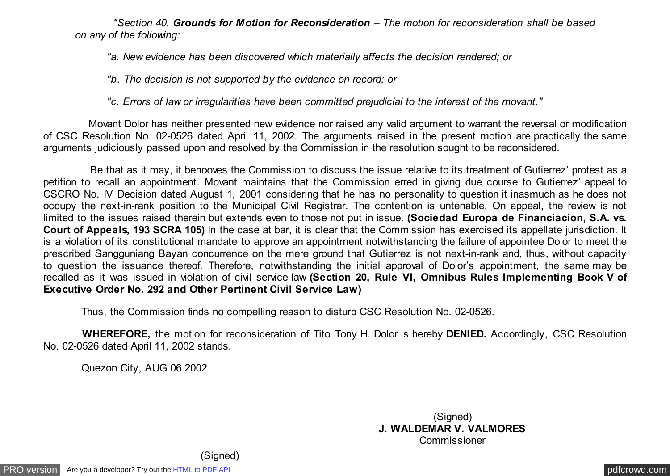*"Section 40. Grounds for Motion for Reconsideration – The motion for reconsideration shall be based on any of the following:*

*"a. New evidence has been discovered which materially affects the decision rendered; or*

*"b. The decision is not supported by the evidence on record; or*

*"c. Errors of law or irregularities have been committed prejudicial to the interest of the movant."*

 Movant Dolor has neither presented new evidence nor raised any valid argument to warrant the reversal or modification of CSC Resolution No. 02-0526 dated April 11, 2002. The arguments raised in the present motion are practically the same arguments judiciously passed upon and resolved by the Commission in the resolution sought to be reconsidered.

 Be that as it may, it behooves the Commission to discuss the issue relative to its treatment of Gutierrez' protest as a petition to recall an appointment. Movant maintains that the Commission erred in giving due course to Gutierrez' appeal to CSCRO No. IV Decision dated August 1, 2001 considering that he has no personality to question it inasmuch as he does not occupy the next-in-rank position to the Municipal Civil Registrar. The contention is untenable. On appeal, the review is not limited to the issues raised therein but extends even to those not put in issue. **(Sociedad Europa de Financiacion, S.A. vs. Court of Appeals, 193 SCRA 105)** In the case at bar, it is clear that the Commission has exercised its appellate jurisdiction. It is a violation of its constitutional mandate to approve an appointment notwithstanding the failure of appointee Dolor to meet the prescribed Sangguniang Bayan concurrence on the mere ground that Gutierrez is not next-in-rank and, thus, without capacity to question the issuance thereof. Therefore, notwithstanding the initial approval of Dolor's appointment, the same may be recalled as it was issued in violation of civil service law **(Section 20, Rule VI, Omnibus Rules Implementing Book V of Executive Order No. 292 and Other Pertinent Civil Service Law)**

Thus, the Commission finds no compelling reason to disturb CSC Resolution No. 02-0526.

 **WHEREFORE,** the motion for reconsideration of Tito Tony H. Dolor is hereby **DENIED.** Accordingly, CSC Resolution No. 02-0526 dated April 11, 2002 stands.

Quezon City, AUG 06 2002

(Signed) **J. WALDEMAR V. VALMORES** Commissioner

(Signed)

[PRO version](http://pdfcrowd.com/customize/) Are you a developer? Try out th[e HTML to PDF API](http://pdfcrowd.com/html-to-pdf-api/?ref=pdf) provided and the example of the HTML to PDF API [pdfcrowd.com](http://pdfcrowd.com)